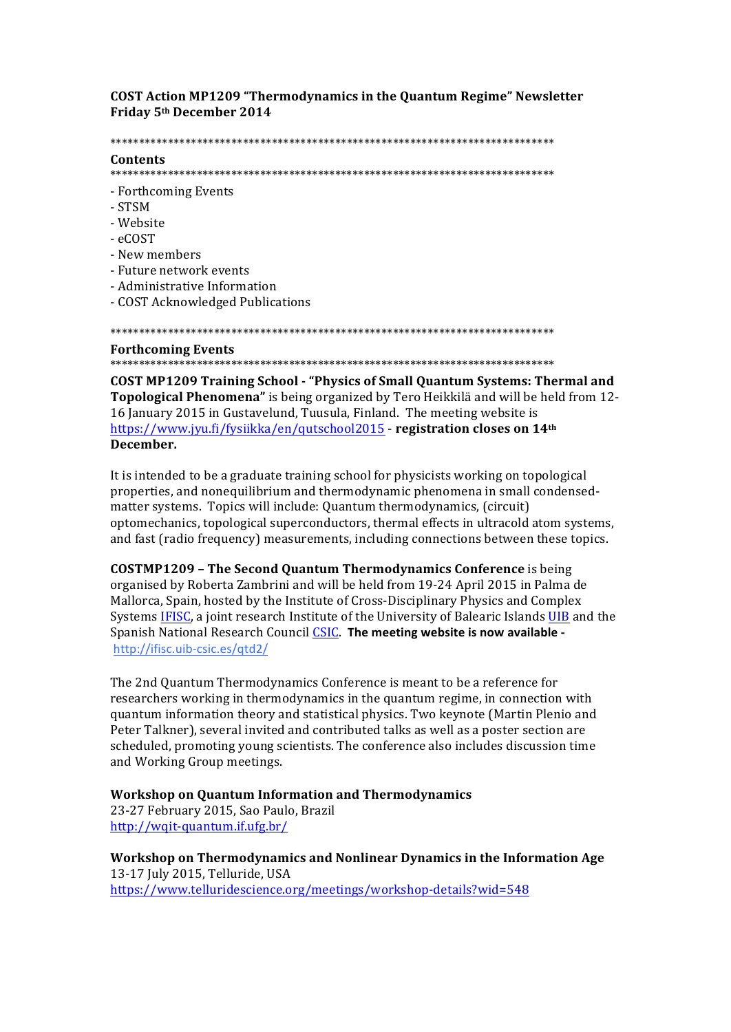**COST Action MP1209 "Thermodynamics in the Quantum Regime" Newsletter** Friday 5th December 2014

#### 

### Contents

- Forthcoming Events
- STSM
- Website
- $\triangle$ COST
- New members
- Future network events
- Administrative Information
- COST Acknowledged Publications

#### **Forthcoming Events**

**COST MP1209 Training School - "Physics of Small Quantum Systems: Thermal and** Topological Phenomena" is being organized by Tero Heikkilä and will be held from 12-16 January 2015 in Gustavelund, Tuusula, Finland. The meeting website is https://www.jyu.fi/fysiikka/en/qutschool2015 - registration closes on 14th December.

It is intended to be a graduate training school for physicists working on topological properties, and nonequilibrium and thermodynamic phenomena in small condensedmatter systems. Topics will include: Quantum thermodynamics, (circuit) optomechanics, topological superconductors, thermal effects in ultracold atom systems, and fast (radio frequency) measurements, including connections between these topics.

**COSTMP1209 - The Second Quantum Thermodynamics Conference** is being organised by Roberta Zambrini and will be held from 19-24 April 2015 in Palma de Mallorca, Spain, hosted by the Institute of Cross-Disciplinary Physics and Complex Systems IFISC, a joint research Institute of the University of Balearic Islands UIB and the Spanish National Research Council CSIC. The meeting website is now available http://ifisc.uib-csic.es/qtd2/

The 2nd Quantum Thermodynamics Conference is meant to be a reference for researchers working in thermodynamics in the quantum regime, in connection with quantum information theory and statistical physics. Two keynote (Martin Plenio and Peter Talkner), several invited and contributed talks as well as a poster section are scheduled, promoting young scientists. The conference also includes discussion time and Working Group meetings.

# **Workshop on Quantum Information and Thermodynamics**

23-27 February 2015, Sao Paulo, Brazil http://wqit-quantum.if.ufg.br/

Workshop on Thermodynamics and Nonlinear Dynamics in the Information Age 13-17 July 2015, Telluride, USA https://www.telluridescience.org/meetings/workshop-details?wid=548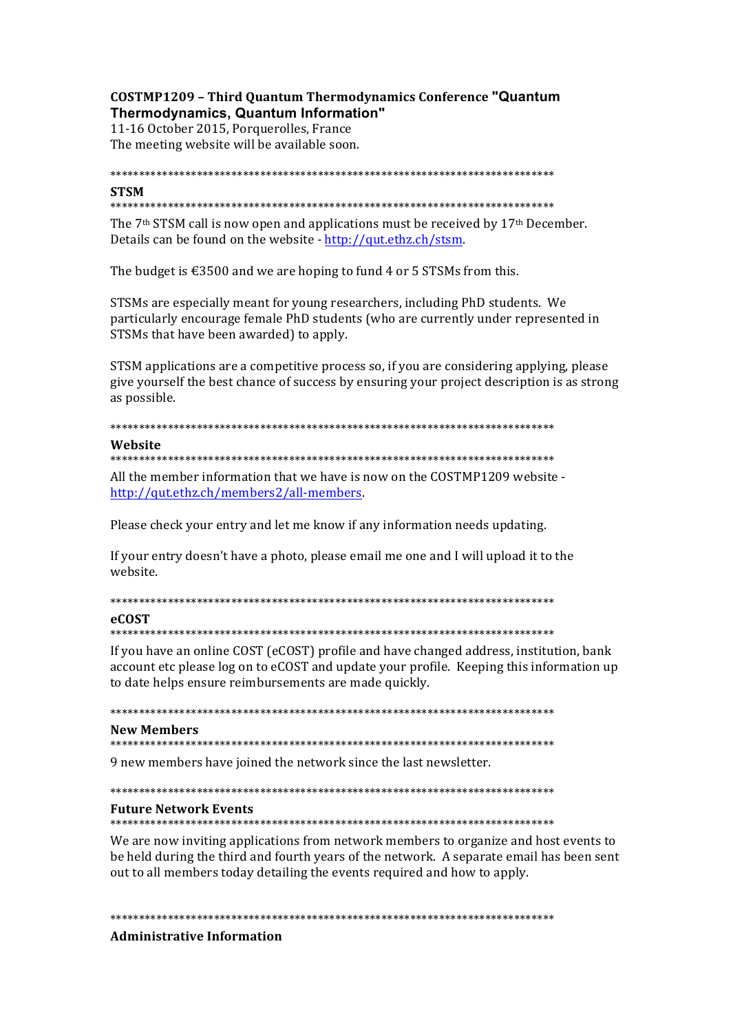# COSTMP1209 - Third Ouantum Thermodynamics Conference "Quantum" Thermodynamics, Quantum Information"

11-16 October 2015, Porquerolles, France The meeting website will be available soon.

# **STSM**

### 

The 7<sup>th</sup> STSM call is now open and applications must be received by 17<sup>th</sup> December. Details can be found on the website - http://gut.ethz.ch/stsm.

The budget is  $\text{\textsterling}3500$  and we are hoping to fund 4 or 5 STSMs from this.

STSMs are especially meant for young researchers, including PhD students. We particularly encourage female PhD students (who are currently under represented in STSMs that have been awarded) to apply.

STSM applications are a competitive process so, if you are considering applying, please give vourself the best chance of success by ensuring your project description is as strong as possible.

# 

#### Wehsite

#### 

All the member information that we have is now on the COSTMP1209 website http://qut.ethz.ch/members2/all-members.

Please check your entry and let me know if any information needs updating.

If your entry doesn't have a photo, please email me one and I will upload it to the website.

# 

### **eCOST**

## 

If you have an online COST (eCOST) profile and have changed address, institution, bank account etc please log on to eCOST and update your profile. Keeping this information up to date helps ensure reimbursements are made quickly.

## **New Members**

9 new members have joined the network since the last newsletter.

## **Future Network Events**

We are now inviting applications from network members to organize and host events to be held during the third and fourth years of the network. A separate email has been sent out to all members today detailing the events required and how to apply.

# **Administrative Information**